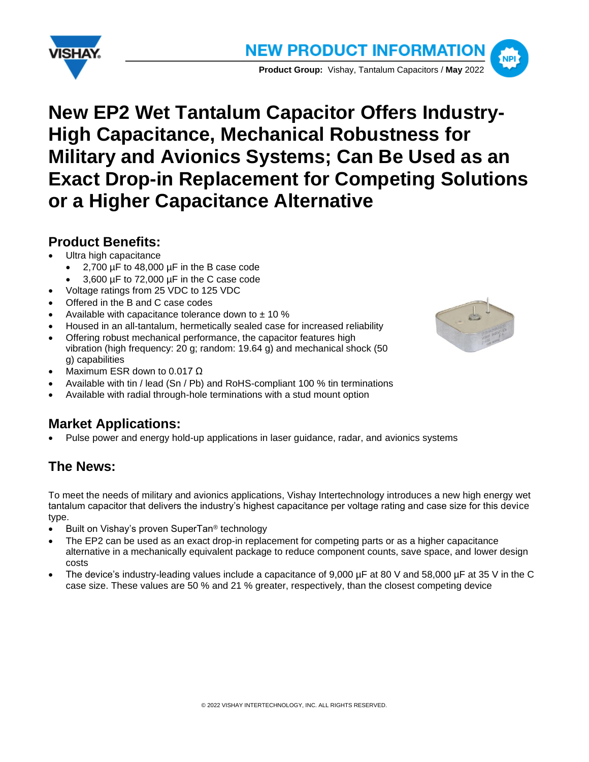



# **New EP2 Wet Tantalum Capacitor Offers Industry-High Capacitance, Mechanical Robustness for Military and Avionics Systems; Can Be Used as an Exact Drop-in Replacement for Competing Solutions or a Higher Capacitance Alternative**

## **Product Benefits:**

- Ultra high capacitance
	- 2,700 µF to 48,000 µF in the B case code
	- 3,600 µF to 72,000 µF in the C case code
- Voltage ratings from 25 VDC to 125 VDC
- Offered in the B and C case codes
- Available with capacitance tolerance down to  $\pm$  10 %
- Housed in an all-tantalum, hermetically sealed case for increased reliability
- Offering robust mechanical performance, the capacitor features high vibration (high frequency: 20 g; random: 19.64 g) and mechanical shock (50 g) capabilities
- 
- Maximum ESR down to 0.017 Ω
- Available with tin / lead (Sn / Pb) and RoHS-compliant 100 % tin terminations
- Available with radial through-hole terminations with a stud mount option

# **Market Applications:**

• Pulse power and energy hold-up applications in laser guidance, radar, and avionics systems

# **The News:**

To meet the needs of military and avionics applications, Vishay Intertechnology introduces a new high energy wet tantalum capacitor that delivers the industry's highest capacitance per voltage rating and case size for this device type.

- Built on Vishay's proven SuperTan® technology
- The EP2 can be used as an exact drop-in replacement for competing parts or as a higher capacitance alternative in a mechanically equivalent package to reduce component counts, save space, and lower design costs
- The device's industry-leading values include a capacitance of 9,000 µF at 80 V and 58,000 µF at 35 V in the C case size. These values are 50 % and 21 % greater, respectively, than the closest competing device